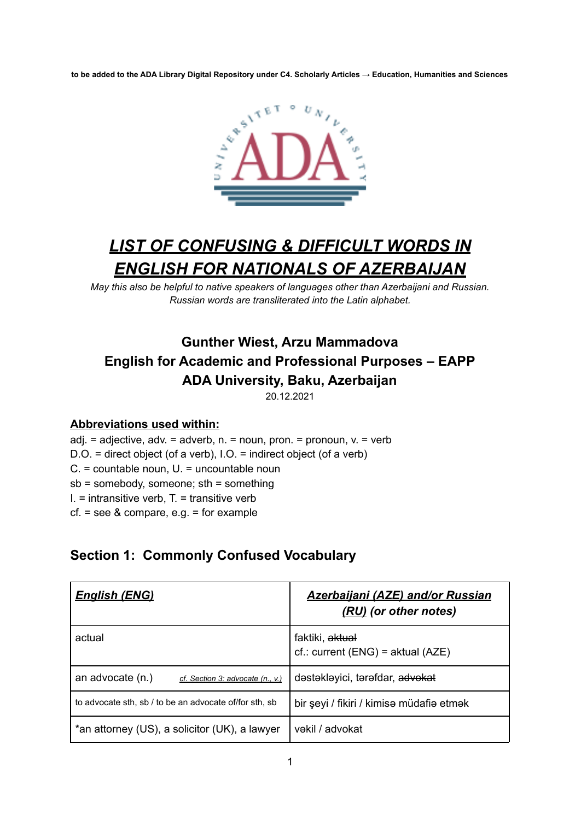to be added to the ADA Library Digital Repository under C4. Scholarly Articles → Education, Humanities and Sciences



# *LIST OF CONFUSING & DIFFICULT WORDS IN ENGLISH FOR NATIONALS OF AZERBAIJAN*

*May this also be helpful to native speakers of languages other than Azerbaijani and Russian. Russian words are transliterated into the Latin alphabet.*

## **Gunther Wiest, Arzu Mammadova English for Academic and Professional Purposes – EAPP ADA University, Baku, Azerbaijan**

20.12.2021

#### **Abbreviations used within:**

 $adj. = adjective, adv. = adverb, n. = noun, pron. = pronoun, v. = verb$ D.O. = direct object (of a verb), I.O. = indirect object (of a verb) C. = countable noun, U. = uncountable noun sb = somebody, someone; sth = something  $I.$  = intransitive verb,  $T.$  = transitive verb cf. = see & compare, e.g. = for example

### **Section 1: Commonly Confused Vocabulary**

| <u>English (ENG)</u>                                   | <b>Azerbaijani (AZE) and/or Russian</b><br>(RU) (or other notes)  |
|--------------------------------------------------------|-------------------------------------------------------------------|
| actual                                                 | faktiki, <del>aktual</del><br>$cf.:$ current (ENG) = aktual (AZE) |
| an advocate (n.)<br>cf. Section 3: advocate (n., v.)   | dəstəkləyici, tərəfdar, advokat                                   |
| to advocate sth, sb / to be an advocate of/for sth, sb | bir şeyi / fikiri / kimisə müdafiə etmək                          |
| *an attorney (US), a solicitor (UK), a lawyer          | vəkil / advokat                                                   |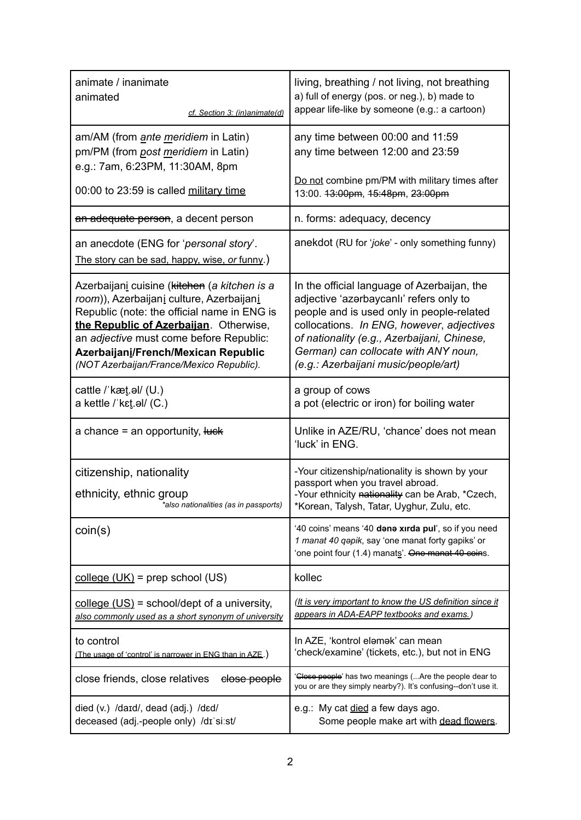| animate / inanimate<br>animated<br>cf. Section 3: (in)animate(d)                                                                                                                                                                                                                                                                    | living, breathing / not living, not breathing<br>a) full of energy (pos. or neg.), b) made to<br>appear life-like by someone (e.g.: a cartoon)                                                                                                                                                                  |
|-------------------------------------------------------------------------------------------------------------------------------------------------------------------------------------------------------------------------------------------------------------------------------------------------------------------------------------|-----------------------------------------------------------------------------------------------------------------------------------------------------------------------------------------------------------------------------------------------------------------------------------------------------------------|
| am/AM (from <i>ante <u>m</u>eridiem</i> in Latin)<br>pm/PM (from post meridiem in Latin)<br>e.g.: 7am, 6:23PM, 11:30AM, 8pm                                                                                                                                                                                                         | any time between 00:00 and 11:59<br>any time between 12:00 and 23:59                                                                                                                                                                                                                                            |
| 00:00 to 23:59 is called military time                                                                                                                                                                                                                                                                                              | Do not combine pm/PM with military times after<br>13:00. 43:00pm, 45:48pm, 23:00pm                                                                                                                                                                                                                              |
| an adequate person, a decent person                                                                                                                                                                                                                                                                                                 | n. forms: adequacy, decency                                                                                                                                                                                                                                                                                     |
| an anecdote (ENG for 'personal story'.<br>The story can be sad, happy, wise, or funny.)                                                                                                                                                                                                                                             | anekdot (RU for 'joke' - only something funny)                                                                                                                                                                                                                                                                  |
| Azerbaijan <u>i</u> cuisine ( <del>kitchen</del> (a kitchen is a<br>room)), Azerbaijanį culture, Azerbaijanį<br>Republic (note: the official name in ENG is<br>the Republic of Azerbaijan. Otherwise,<br>an adjective must come before Republic:<br>Azerbaijani/French/Mexican Republic<br>(NOT Azerbaijan/France/Mexico Republic). | In the official language of Azerbaijan, the<br>adjective 'azarbaycanlı' refers only to<br>people and is used only in people-related<br>collocations. In ENG, however, adjectives<br>of nationality (e.g., Azerbaijani, Chinese,<br>German) can collocate with ANY noun,<br>(e.g.: Azerbaijani music/people/art) |
| cattle / kæt.al/ (U.)<br>a kettle / kɛt̪.əl/ (C.)                                                                                                                                                                                                                                                                                   | a group of cows<br>a pot (electric or iron) for boiling water                                                                                                                                                                                                                                                   |
| a chance = an opportunity, luck                                                                                                                                                                                                                                                                                                     | Unlike in AZE/RU, 'chance' does not mean<br>'luck' in ENG.                                                                                                                                                                                                                                                      |
| citizenship, nationality<br>ethnicity, ethnic group<br>*also nationalities (as in passports)                                                                                                                                                                                                                                        | -Your citizenship/nationality is shown by your<br>passport when you travel abroad.<br>-Your ethnicity nationality can be Arab, *Czech,<br>*Korean, Talysh, Tatar, Uyghur, Zulu, etc.                                                                                                                            |
| coin(s)                                                                                                                                                                                                                                                                                                                             | '40 coins' means '40 dene xirda pul', so if you need<br>1 manat 40 qopik, say 'one manat forty gapiks' or<br>'one point four (1.4) manats'. One manat 40 coins.                                                                                                                                                 |
| $\frac{\text{college (UK)}}{\text{= prep school (US)}}$                                                                                                                                                                                                                                                                             | kollec                                                                                                                                                                                                                                                                                                          |
| college $(US)$ = school/dept of a university,<br>also commonly used as a short synonym of university                                                                                                                                                                                                                                | <u>(It is very important to know the US definition since it</u><br>appears in ADA-EAPP textbooks and exams.)                                                                                                                                                                                                    |
| to control<br>(The usage of 'control' is narrower in ENG than in AZE.)                                                                                                                                                                                                                                                              | In AZE, 'kontrol elamak' can mean<br>'check/examine' (tickets, etc.), but not in ENG                                                                                                                                                                                                                            |
| close friends, close relatives<br>elose people                                                                                                                                                                                                                                                                                      | 'Close people' has two meanings (Are the people dear to<br>you or are they simply nearby?). It's confusing--don't use it.                                                                                                                                                                                       |
| died (v.) /daɪd/, dead (adj.) /dɛd/<br>deceased (adj.-people only) /dɪ'siːst/                                                                                                                                                                                                                                                       | e.g.: My cat died a few days ago.<br>Some people make art with dead flowers.                                                                                                                                                                                                                                    |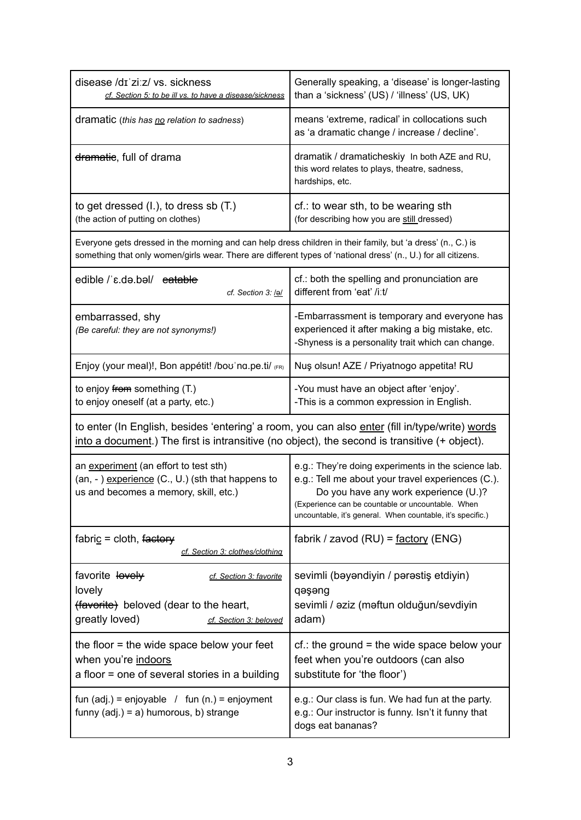| disease /dɪ ziːz/ vs. sickness<br>cf. Section 5: to be ill vs. to have a disease/sickness                                                                                                                                     | Generally speaking, a 'disease' is longer-lasting<br>than a 'sickness' (US) / 'illness' (US, UK)                                                                                                                                                                     |
|-------------------------------------------------------------------------------------------------------------------------------------------------------------------------------------------------------------------------------|----------------------------------------------------------------------------------------------------------------------------------------------------------------------------------------------------------------------------------------------------------------------|
| dramatic (this has no relation to sadness)                                                                                                                                                                                    | means 'extreme, radical' in collocations such<br>as 'a dramatic change / increase / decline'.                                                                                                                                                                        |
| <del>dramatic</del> , full of drama                                                                                                                                                                                           | dramatik / dramaticheskiy In both AZE and RU,<br>this word relates to plays, theatre, sadness,<br>hardships, etc.                                                                                                                                                    |
| to get dressed (I.), to dress sb (T.)<br>(the action of putting on clothes)                                                                                                                                                   | cf.: to wear sth, to be wearing sth<br>(for describing how you are still dressed)                                                                                                                                                                                    |
| Everyone gets dressed in the morning and can help dress children in their family, but 'a dress' (n., C.) is<br>something that only women/girls wear. There are different types of 'national dress' (n., U.) for all citizens. |                                                                                                                                                                                                                                                                      |
| edible / ε.də.bəl/ eatable<br>cf. Section 3: lal                                                                                                                                                                              | cf.: both the spelling and pronunciation are<br>different from 'eat' /iːt/                                                                                                                                                                                           |
| embarrassed, shy<br>(Be careful: they are not synonyms!)                                                                                                                                                                      | -Embarrassment is temporary and everyone has<br>experienced it after making a big mistake, etc.<br>-Shyness is a personality trait which can change.                                                                                                                 |
| Enjoy (your meal)!, Bon appétit! /boo na.pe.ti/ (FR)                                                                                                                                                                          | Nuş olsun! AZE / Priyatnogo appetita! RU                                                                                                                                                                                                                             |
| to enjoy from something (T.)<br>to enjoy oneself (at a party, etc.)                                                                                                                                                           | -You must have an object after 'enjoy'.<br>-This is a common expression in English.                                                                                                                                                                                  |
| to enter (In English, besides 'entering' a room, you can also enter (fill in/type/write) words<br>into a document.) The first is intransitive (no object), the second is transitive (+ object).                               |                                                                                                                                                                                                                                                                      |
| an experiment (an effort to test sth)<br>(an, -) experience (C., U.) (sth that happens to<br>us and becomes a memory, skill, etc.)                                                                                            | e.g.: They're doing experiments in the science lab.<br>e.g.: Tell me about your travel experiences (C.).<br>Do you have any work experience (U.)?<br>(Experience can be countable or uncountable. When<br>uncountable, it's general. When countable, it's specific.) |
| fabric = cloth, factory<br>cf. Section 3: clothes/clothing                                                                                                                                                                    | fabrik / zavod (RU) = $factors$ (ENG)                                                                                                                                                                                                                                |
| favorite lovely<br>cf. Section 3: favorite<br>lovely<br>(favorite) beloved (dear to the heart,<br>greatly loved)<br>cf. Section 3: beloved                                                                                    | sevimli (bəyəndiyin / pərəstiş etdiyin)<br>qəşəng<br>sevimli / aziz (maftun olduğun/sevdiyin<br>adam)                                                                                                                                                                |
| the floor $=$ the wide space below your feet<br>when you're indoors<br>a floor = one of several stories in a building                                                                                                         | $cf.$ : the ground = the wide space below your<br>feet when you're outdoors (can also<br>substitute for 'the floor')                                                                                                                                                 |
| fun $(adj.)$ = enjoyable / fun $(n.)$ = enjoyment<br>funny $(adj.) = a)$ humorous, b) strange                                                                                                                                 | e.g.: Our class is fun. We had fun at the party.<br>e.g.: Our instructor is funny. Isn't it funny that<br>dogs eat bananas?                                                                                                                                          |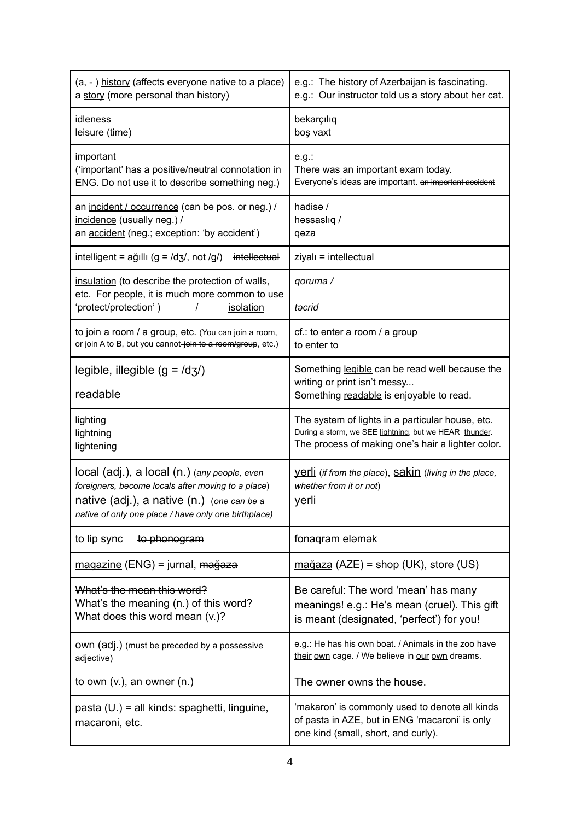| (a, -) history (affects everyone native to a place)<br>a story (more personal than history)                                                              | e.g.: The history of Azerbaijan is fascinating.<br>e.g.: Our instructor told us a story about her cat.                                                          |
|----------------------------------------------------------------------------------------------------------------------------------------------------------|-----------------------------------------------------------------------------------------------------------------------------------------------------------------|
| idleness<br>leisure (time)                                                                                                                               | bekarçılıq<br>boş vaxt                                                                                                                                          |
| important<br>('important' has a positive/neutral connotation in<br>ENG. Do not use it to describe something neg.)                                        | e.g.<br>There was an important exam today.<br>Everyone's ideas are important. an important accident                                                             |
| an incident / occurrence (can be pos. or neg.) /<br>incidence (usually neg.) /<br>an accident (neg.; exception: 'by accident')                           | hadisə /<br>həssaslıq /<br>qəza                                                                                                                                 |
| intelligent = $a\ddot{g}$ ıllı (g = /dʒ/, not /g/)<br>intellectual                                                                                       | ziyalı = intellectual                                                                                                                                           |
| insulation (to describe the protection of walls,<br>etc. For people, it is much more common to use                                                       | qoruma /                                                                                                                                                        |
| 'protect/protection')<br>isolation<br>T                                                                                                                  | təcrid                                                                                                                                                          |
| to join a room / a group, etc. (You can join a room,<br>or join A to B, but you cannot-join to a room/group, etc.)                                       | cf.: to enter a room / a group<br>to enter to                                                                                                                   |
| legible, illegible $(g = /d3)$                                                                                                                           | Something legible can be read well because the<br>writing or print isn't messy                                                                                  |
| readable                                                                                                                                                 | Something readable is enjoyable to read.                                                                                                                        |
| lighting<br>lightning<br>lightening                                                                                                                      | The system of lights in a particular house, etc.<br>During a storm, we SEE lightning, but we HEAR thunder.<br>The process of making one's hair a lighter color. |
| local (adj.), a local (n.) (any people, even                                                                                                             | <u>Verli</u> (if from the place), <b>Sakin</b> (living in the place,                                                                                            |
| foreigners, become locals after moving to a place)<br>native (adj.), a native (n.) (one can be a<br>native of only one place / have only one birthplace) | whether from it or not)<br><u>yerli</u>                                                                                                                         |
| to lip sync<br>to phonogram                                                                                                                              | fonagram elemek                                                                                                                                                 |
| magazine (ENG) = jurnal, mağaza                                                                                                                          | $ma\ddot{a}aza$ (AZE) = shop (UK), store (US)                                                                                                                   |
| What's the mean this word?<br>What's the meaning (n.) of this word?<br>What does this word mean (v.)?                                                    | Be careful: The word 'mean' has many<br>meanings! e.g.: He's mean (cruel). This gift<br>is meant (designated, 'perfect') for you!                               |
| own (adj.) (must be preceded by a possessive<br>adjective)                                                                                               | e.g.: He has his own boat. / Animals in the zoo have<br>their own cage. / We believe in our own dreams.                                                         |
| to own $(v_i)$ , an owner $(n_i)$                                                                                                                        | The owner owns the house.                                                                                                                                       |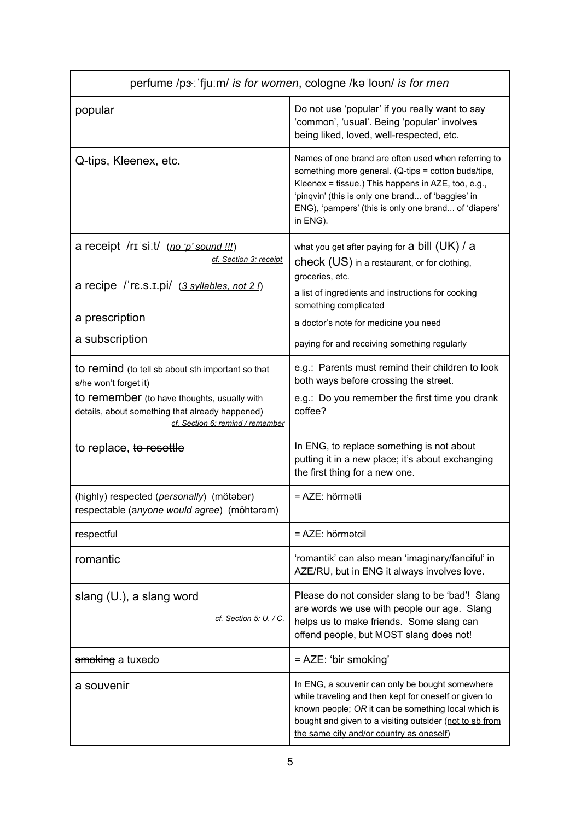| perfume /p3 : 'fju:m/ is for women, cologne /ka loun/ is for men                                                                                                                                                 |                                                                                                                                                                                                                                                                                           |
|------------------------------------------------------------------------------------------------------------------------------------------------------------------------------------------------------------------|-------------------------------------------------------------------------------------------------------------------------------------------------------------------------------------------------------------------------------------------------------------------------------------------|
| popular                                                                                                                                                                                                          | Do not use 'popular' if you really want to say<br>'common', 'usual'. Being 'popular' involves<br>being liked, loved, well-respected, etc.                                                                                                                                                 |
| Q-tips, Kleenex, etc.                                                                                                                                                                                            | Names of one brand are often used when referring to<br>something more general. (Q-tips = cotton buds/tips,<br>Kleenex = tissue.) This happens in AZE, too, e.g.,<br>'pinqvin' (this is only one brand of 'baggies' in<br>ENG), 'pampers' (this is only one brand of 'diapers'<br>in ENG). |
| a receipt /rɪ siːt/ (no 'p' sound !!!)<br>cf. Section 3: receipt<br>a recipe / rɛ.s.I.pi/ (3 syllables, not 2!)                                                                                                  | what you get after paying for $a$ bill $(UK)$ / $a$<br>check (US) in a restaurant, or for clothing,<br>groceries, etc.<br>a list of ingredients and instructions for cooking<br>something complicated                                                                                     |
| a prescription                                                                                                                                                                                                   | a doctor's note for medicine you need                                                                                                                                                                                                                                                     |
| a subscription                                                                                                                                                                                                   | paying for and receiving something regularly                                                                                                                                                                                                                                              |
| to remind (to tell sb about sth important so that<br>s/he won't forget it)<br>to remember (to have thoughts, usually with<br>details, about something that already happened)<br>cf. Section 6: remind / remember | e.g.: Parents must remind their children to look<br>both ways before crossing the street.<br>e.g.: Do you remember the first time you drank<br>coffee?                                                                                                                                    |
| to replace, to resettle                                                                                                                                                                                          | In ENG, to replace something is not about<br>putting it in a new place; it's about exchanging<br>the first thing for a new one.                                                                                                                                                           |
| (highly) respected (personally) (mötabar)<br>respectable (anyone would agree) (möhtərəm)                                                                                                                         | = AZE: hörmətli                                                                                                                                                                                                                                                                           |
| respectful                                                                                                                                                                                                       | $= AZE$ : hörmətcil                                                                                                                                                                                                                                                                       |
| romantic                                                                                                                                                                                                         | 'romantik' can also mean 'imaginary/fanciful' in<br>AZE/RU, but in ENG it always involves love.                                                                                                                                                                                           |
| slang (U.), a slang word<br>cf. Section 5: U. / C.                                                                                                                                                               | Please do not consider slang to be 'bad'! Slang<br>are words we use with people our age. Slang<br>helps us to make friends. Some slang can<br>offend people, but MOST slang does not!                                                                                                     |
| <del>smoking</del> a tuxedo                                                                                                                                                                                      | = AZE: 'bir smoking'                                                                                                                                                                                                                                                                      |
| a souvenir                                                                                                                                                                                                       | In ENG, a souvenir can only be bought somewhere<br>while traveling and then kept for oneself or given to<br>known people; OR it can be something local which is<br>bought and given to a visiting outsider (not to sb from<br>the same city and/or country as oneself)                    |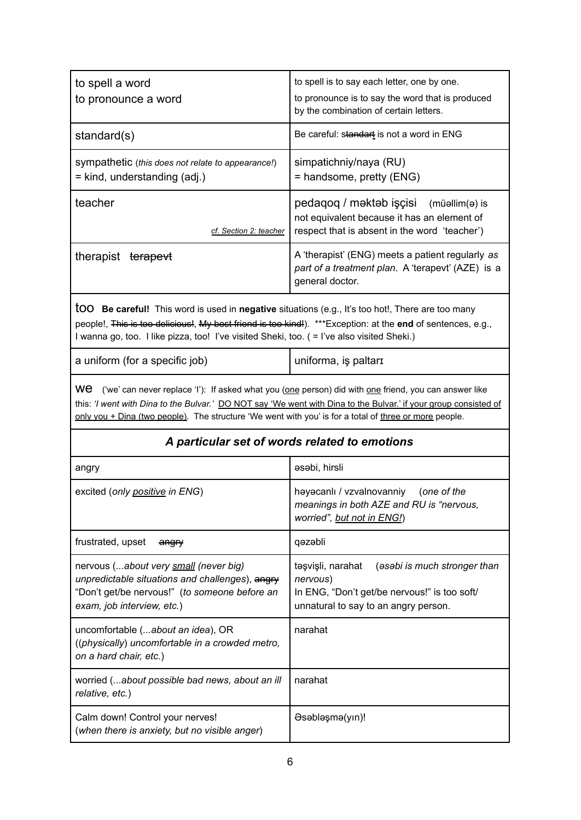| to spell a word                                                                                                                                                                                                                                                                                                                           | to spell is to say each letter, one by one.                                                                                                           |
|-------------------------------------------------------------------------------------------------------------------------------------------------------------------------------------------------------------------------------------------------------------------------------------------------------------------------------------------|-------------------------------------------------------------------------------------------------------------------------------------------------------|
| to pronounce a word                                                                                                                                                                                                                                                                                                                       | to pronounce is to say the word that is produced<br>by the combination of certain letters.                                                            |
| standard(s)                                                                                                                                                                                                                                                                                                                               | Be careful: standart is not a word in ENG                                                                                                             |
| sympathetic (this does not relate to appearance!)<br>= kind, understanding (adj.)                                                                                                                                                                                                                                                         | simpatichniy/naya (RU)<br>= handsome, pretty (ENG)                                                                                                    |
| teacher<br>cf. Section 2: teacher                                                                                                                                                                                                                                                                                                         | pedaqoq / məktəb işçisi (müəllim(ə) is<br>not equivalent because it has an element of<br>respect that is absent in the word 'teacher')                |
| therapist terapevt                                                                                                                                                                                                                                                                                                                        | A 'therapist' (ENG) meets a patient regularly as<br>part of a treatment plan. A 'terapevt' (AZE) is a<br>general doctor.                              |
| <b>tOO</b> Be careful! This word is used in negative situations (e.g., It's too hot!, There are too many<br>people!, This is too delicious!, My best friend is too kind!). ***Exception: at the end of sentences, e.g.,<br>I wanna go, too. I like pizza, too! I've visited Sheki, too. ( = I've also visited Sheki.)                     |                                                                                                                                                       |
| a uniform (for a specific job)                                                                                                                                                                                                                                                                                                            | uniforma, is paltari                                                                                                                                  |
| we<br>('we' can never replace 'l'): If asked what you (one person) did with one friend, you can answer like<br>this: 'I went with Dina to the Bulvar.' DO NOT say 'We went with Dina to the Bulvar.' if your group consisted of<br>only you + Dina (two people). The structure 'We went with you' is for a total of three or more people. |                                                                                                                                                       |
|                                                                                                                                                                                                                                                                                                                                           |                                                                                                                                                       |
|                                                                                                                                                                                                                                                                                                                                           | A particular set of words related to emotions                                                                                                         |
| angry                                                                                                                                                                                                                                                                                                                                     | asabi, hirsli                                                                                                                                         |
| excited (only positive in ENG)                                                                                                                                                                                                                                                                                                            | həyəcanlı / vzvalnovanniy (one of the<br>meanings in both AZE and RU is "nervous,<br>worried", but not in ENG!)                                       |
| frustrated, upset<br>angry                                                                                                                                                                                                                                                                                                                | qəzəbli                                                                                                                                               |
| nervous (about very small (never big)<br>unpredictable situations and challenges), angry<br>"Don't get/be nervous!" (to someone before an<br>exam, job interview, etc.)                                                                                                                                                                   | (asabi is much stronger than<br>təşvişli, narahat<br>nervous)<br>In ENG, "Don't get/be nervous!" is too soft/<br>unnatural to say to an angry person. |
| uncomfortable (about an idea), OR<br>((physically) uncomfortable in a crowded metro,<br>on a hard chair, etc.)                                                                                                                                                                                                                            | narahat                                                                                                                                               |
| worried (about possible bad news, about an ill<br>relative, etc.)                                                                                                                                                                                                                                                                         | narahat                                                                                                                                               |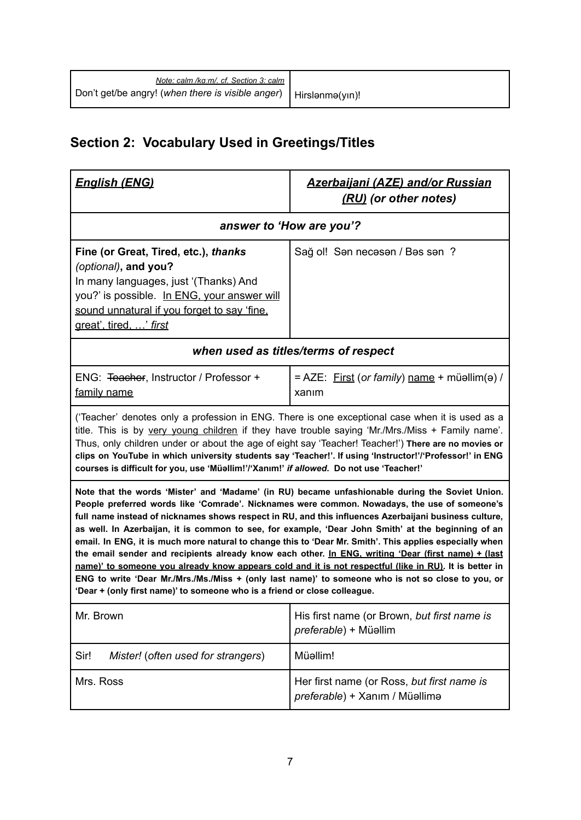| Note: calm /kg/m/. cf. Section 3: calm                              |  |
|---------------------------------------------------------------------|--|
| Don't get/be angry! (when there is visible anger)   Hirslanma(yin)! |  |

# **Section 2: Vocabulary Used in Greetings/Titles**

| <u> English (ENG)</u>                                                                                                                                                                                                                                                                                                                                                                                                                                                                                                                                                                                                                                                                                                                                                                                                                                                                                                         | <u> Azerbaijani (AZE) and/or Russian</u><br>(RU) (or other notes)            |  |
|-------------------------------------------------------------------------------------------------------------------------------------------------------------------------------------------------------------------------------------------------------------------------------------------------------------------------------------------------------------------------------------------------------------------------------------------------------------------------------------------------------------------------------------------------------------------------------------------------------------------------------------------------------------------------------------------------------------------------------------------------------------------------------------------------------------------------------------------------------------------------------------------------------------------------------|------------------------------------------------------------------------------|--|
| answer to 'How are you'?                                                                                                                                                                                                                                                                                                                                                                                                                                                                                                                                                                                                                                                                                                                                                                                                                                                                                                      |                                                                              |  |
| Fine (or Great, Tired, etc.), thanks<br>(optional), and you?<br>In many languages, just '(Thanks) And<br>you?' is possible. In ENG, your answer will<br>sound unnatural if you forget to say 'fine,<br>great', tired, ' first                                                                                                                                                                                                                                                                                                                                                                                                                                                                                                                                                                                                                                                                                                 | Sağ ol! Sən necəsən / Bəs sən?                                               |  |
| when used as titles/terms of respect                                                                                                                                                                                                                                                                                                                                                                                                                                                                                                                                                                                                                                                                                                                                                                                                                                                                                          |                                                                              |  |
| ENG: Teacher, Instructor / Professor +<br>family name                                                                                                                                                                                                                                                                                                                                                                                                                                                                                                                                                                                                                                                                                                                                                                                                                                                                         | = AZE: First (or family) name + müəllim(ə) /<br>xanım                        |  |
| ('Teacher' denotes only a profession in ENG. There is one exceptional case when it is used as a<br>title. This is by very young children if they have trouble saying 'Mr./Mrs./Miss + Family name'.<br>Thus, only children under or about the age of eight say 'Teacher! Teacher!') There are no movies or<br>clips on YouTube in which university students say 'Teacher!'. If using 'Instructor!'/'Professor!' in ENG<br>courses is difficult for you, use 'Müəllim!'/'Xanım!' if allowed. Do not use 'Teacher!'                                                                                                                                                                                                                                                                                                                                                                                                             |                                                                              |  |
| Note that the words 'Mister' and 'Madame' (in RU) became unfashionable during the Soviet Union.<br>People preferred words like 'Comrade'. Nicknames were common. Nowadays, the use of someone's<br>full name instead of nicknames shows respect in RU, and this influences Azerbaijani business culture,<br>as well. In Azerbaijan, it is common to see, for example, 'Dear John Smith' at the beginning of an<br>email. In ENG, it is much more natural to change this to 'Dear Mr. Smith'. This applies especially when<br>the email sender and recipients already know each other. In ENG, writing 'Dear (first name) + (last<br>name)' to someone you already know appears cold and it is not respectful (like in RU). It is better in<br>ENG to write 'Dear Mr./Mrs./Ms./Miss + (only last name)' to someone who is not so close to you, or<br>'Dear + (only first name)' to someone who is a friend or close colleague. |                                                                              |  |
| Mr. Brown                                                                                                                                                                                                                                                                                                                                                                                                                                                                                                                                                                                                                                                                                                                                                                                                                                                                                                                     | His first name (or Brown, but first name is<br>preferable) + Müəllim         |  |
| Sir!<br>Mister! (often used for strangers)                                                                                                                                                                                                                                                                                                                                                                                                                                                                                                                                                                                                                                                                                                                                                                                                                                                                                    | Müəllim!                                                                     |  |
| Mrs. Ross                                                                                                                                                                                                                                                                                                                                                                                                                                                                                                                                                                                                                                                                                                                                                                                                                                                                                                                     | Her first name (or Ross, but first name is<br>preferable) + Xanım / Müəllimə |  |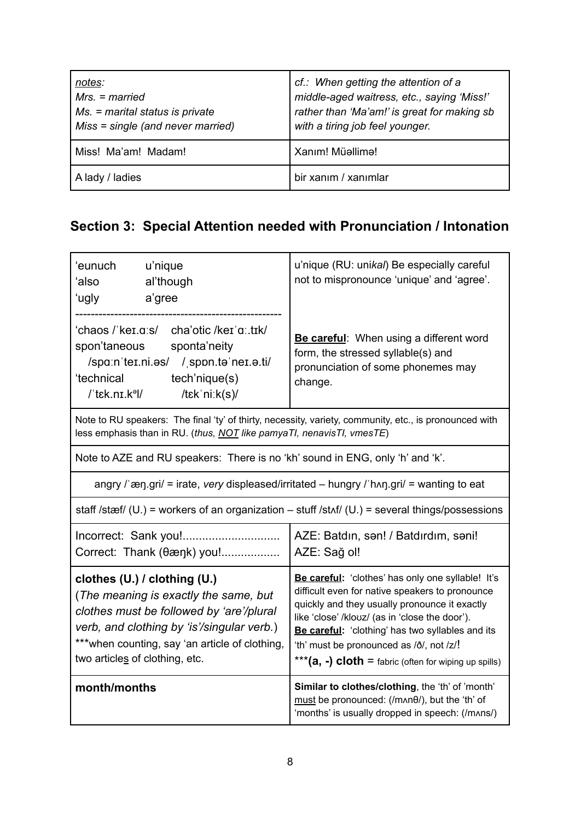| notes:<br>$Mrs. = married$<br>$Ms.$ = marital status is private<br>Miss = single (and never married) | cf.: When getting the attention of a<br>middle-aged waitress, etc., saying 'Miss!'<br>rather than 'Ma'am!' is great for making sb<br>with a tiring job feel younger. |
|------------------------------------------------------------------------------------------------------|----------------------------------------------------------------------------------------------------------------------------------------------------------------------|
| Miss! Ma'am! Madam!                                                                                  | Xanım! Müəllimə!                                                                                                                                                     |
| A lady / ladies                                                                                      | bir xanım / xanımlar                                                                                                                                                 |

## **Section 3: Special Attention needed with Pronunciation / Intonation**

| 'eunuch<br>u'nique<br>'also<br>al'though<br>a'gree<br>ʻugly                                                                                                                                                                                          | u'nique (RU: unikal) Be especially careful<br>not to mispronounce 'unique' and 'agree'.                                                                                                                                                                                                                                                                             |
|------------------------------------------------------------------------------------------------------------------------------------------------------------------------------------------------------------------------------------------------------|---------------------------------------------------------------------------------------------------------------------------------------------------------------------------------------------------------------------------------------------------------------------------------------------------------------------------------------------------------------------|
| ʻchaos /ˈkeɪ.ɑːs/<br>cha'otic /keɪ'ɑːtɪk/<br>spon'taneous<br>sponta'neity<br>/spa:n'ter.ni.as/ / sppn.ta'ner.a.ti/<br>'technical<br>tech'nique(s)<br>$l$ tek.nr. $k^9l$<br>/tɛkˈniːk(s)/                                                             | Be careful: When using a different word<br>form, the stressed syllable(s) and<br>pronunciation of some phonemes may<br>change.                                                                                                                                                                                                                                      |
| Note to RU speakers: The final 'ty' of thirty, necessity, variety, community, etc., is pronounced with<br>less emphasis than in RU. (thus, NOT like pamyaTI, nenavisTI, vmesTE)                                                                      |                                                                                                                                                                                                                                                                                                                                                                     |
| Note to AZE and RU speakers: There is no 'kh' sound in ENG, only 'h' and 'k'.                                                                                                                                                                        |                                                                                                                                                                                                                                                                                                                                                                     |
|                                                                                                                                                                                                                                                      | angry /'æŋ.gri/ = irate, very displeased/irritated - hungry /'hʌŋ.gri/ = wanting to eat                                                                                                                                                                                                                                                                             |
|                                                                                                                                                                                                                                                      | staff /stæf/ (U.) = workers of an organization $-$ stuff /stʌf/ (U.) = several things/possessions                                                                                                                                                                                                                                                                   |
| Correct: Thank (θæηk) you!                                                                                                                                                                                                                           | AZE: Batdın, sən! / Batdırdım, səni!<br>AZE: Sağ ol!                                                                                                                                                                                                                                                                                                                |
| clothes (U.) / clothing (U.)<br>(The meaning is exactly the same, but<br>clothes must be followed by 'are'/plural<br>verb, and clothing by 'is'/singular verb.)<br>*** when counting, say 'an article of clothing,<br>two articles of clothing, etc. | Be careful: 'clothes' has only one syllable! It's<br>difficult even for native speakers to pronounce<br>quickly and they usually pronounce it exactly<br>like 'close' /klovz/ (as in 'close the door').<br>Be careful: 'clothing' has two syllables and its<br>'th' must be pronounced as /ð/, not /z/!<br>*** $(a, -)$ cloth = fabric (often for wiping up spills) |
| month/months                                                                                                                                                                                                                                         | Similar to clothes/clothing, the 'th' of 'month'<br>must be pronounced: (/mʌnθ/), but the 'th' of<br>'months' is usually dropped in speech: (/mʌns/)                                                                                                                                                                                                                |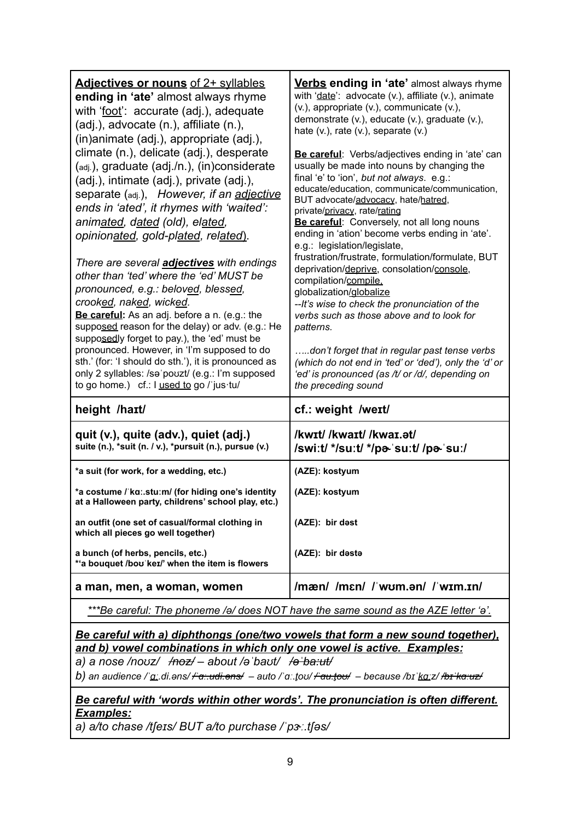| <b>Adjectives or nouns of 2+ syllables</b><br>ending in 'ate' almost always rhyme<br>with 'foot': accurate (adj.), adequate<br>(adj.), advocate (n.), affiliate (n.),<br>(in)animate (adj.), appropriate (adj.),<br>climate (n.), delicate (adj.), desperate<br>(adj.), graduate (adj./n.), (in)considerate<br>(adj.), intimate (adj.), private (adj.),<br>separate (adj.), However, if an adjective<br>ends in 'ated', it rhymes with 'waited':<br>animated, dated (old), elated,<br>opinionated, gold-plated, related).<br>There are several <i>adjectives</i> with endings<br>other than 'ted' where the 'ed' MUST be<br>pronounced, e.g.: beloved, blessed,<br>crooked, naked, wicked.<br>Be careful: As an adj. before a n. (e.g.: the<br>supposed reason for the delay) or adv. (e.g.: He<br>supposedly forget to pay.), the 'ed' must be<br>pronounced. However, in 'I'm supposed to do<br>sth.' (for: 'I should do sth.'), it is pronounced as<br>only 2 syllables: /səˈpoʊzt/ (e.g.: I'm supposed<br>to go home.) cf.: I used to go / jus tu/ | <b>Verbs ending in 'ate'</b> almost always rhyme<br>with 'date': advocate (v.), affiliate (v.), animate<br>(v.), appropriate (v.), communicate (v.),<br>demonstrate (v.), educate (v.), graduate (v.),<br>hate $(v.)$ , rate $(v.)$ , separate $(v.)$<br>Be careful: Verbs/adjectives ending in 'ate' can<br>usually be made into nouns by changing the<br>final 'e' to 'ion', but not always. e.g.:<br>educate/education, communicate/communication,<br>BUT advocate/advocacy, hate/hatred,<br>private/privacy, rate/rating<br>Be careful: Conversely, not all long nouns<br>ending in 'ation' become verbs ending in 'ate'.<br>e.g.: legislation/legislate,<br>frustration/frustrate, formulation/formulate, BUT<br>deprivation/deprive, consolation/console,<br>compilation/compile.<br>globalization/globalize<br>--It's wise to check the pronunciation of the<br>verbs such as those above and to look for<br>patterns.<br>don't forget that in regular past tense verbs<br>(which do not end in 'ted' or 'ded'), only the 'd' or<br>'ed' is pronounced (as /t/ or /d/, depending on |
|--------------------------------------------------------------------------------------------------------------------------------------------------------------------------------------------------------------------------------------------------------------------------------------------------------------------------------------------------------------------------------------------------------------------------------------------------------------------------------------------------------------------------------------------------------------------------------------------------------------------------------------------------------------------------------------------------------------------------------------------------------------------------------------------------------------------------------------------------------------------------------------------------------------------------------------------------------------------------------------------------------------------------------------------------------|--------------------------------------------------------------------------------------------------------------------------------------------------------------------------------------------------------------------------------------------------------------------------------------------------------------------------------------------------------------------------------------------------------------------------------------------------------------------------------------------------------------------------------------------------------------------------------------------------------------------------------------------------------------------------------------------------------------------------------------------------------------------------------------------------------------------------------------------------------------------------------------------------------------------------------------------------------------------------------------------------------------------------------------------------------------------------------------------|
| height /hart/                                                                                                                                                                                                                                                                                                                                                                                                                                                                                                                                                                                                                                                                                                                                                                                                                                                                                                                                                                                                                                          | the preceding sound<br>cf.: weight /weɪt/                                                                                                                                                                                                                                                                                                                                                                                                                                                                                                                                                                                                                                                                                                                                                                                                                                                                                                                                                                                                                                                  |
|                                                                                                                                                                                                                                                                                                                                                                                                                                                                                                                                                                                                                                                                                                                                                                                                                                                                                                                                                                                                                                                        |                                                                                                                                                                                                                                                                                                                                                                                                                                                                                                                                                                                                                                                                                                                                                                                                                                                                                                                                                                                                                                                                                            |
| quit (v.), quite (adv.), quiet (adj.)<br>suite (n.), *suit (n. / v.), *pursuit (n.), pursue (v.)                                                                                                                                                                                                                                                                                                                                                                                                                                                                                                                                                                                                                                                                                                                                                                                                                                                                                                                                                       | /kwɪt//kwaɪt//kwaɪ.ət/<br>/swiːt/ */suːt/ */pa- suːt/ /pa- suː/                                                                                                                                                                                                                                                                                                                                                                                                                                                                                                                                                                                                                                                                                                                                                                                                                                                                                                                                                                                                                            |
| *a suit (for work, for a wedding, etc.)                                                                                                                                                                                                                                                                                                                                                                                                                                                                                                                                                                                                                                                                                                                                                                                                                                                                                                                                                                                                                | (AZE): kostyum                                                                                                                                                                                                                                                                                                                                                                                                                                                                                                                                                                                                                                                                                                                                                                                                                                                                                                                                                                                                                                                                             |
| *a costume / ka:.stu:m/ (for hiding one's identity<br>at a Halloween party, childrens' school play, etc.)                                                                                                                                                                                                                                                                                                                                                                                                                                                                                                                                                                                                                                                                                                                                                                                                                                                                                                                                              | (AZE): kostyum                                                                                                                                                                                                                                                                                                                                                                                                                                                                                                                                                                                                                                                                                                                                                                                                                                                                                                                                                                                                                                                                             |
| an outfit (one set of casual/formal clothing in<br>which all pieces go well together)                                                                                                                                                                                                                                                                                                                                                                                                                                                                                                                                                                                                                                                                                                                                                                                                                                                                                                                                                                  | (AZE): bir dest                                                                                                                                                                                                                                                                                                                                                                                                                                                                                                                                                                                                                                                                                                                                                                                                                                                                                                                                                                                                                                                                            |
| a bunch (of herbs, pencils, etc.)<br>*'a bouquet /bou keɪ/' when the item is flowers                                                                                                                                                                                                                                                                                                                                                                                                                                                                                                                                                                                                                                                                                                                                                                                                                                                                                                                                                                   | (AZE): bir deste                                                                                                                                                                                                                                                                                                                                                                                                                                                                                                                                                                                                                                                                                                                                                                                                                                                                                                                                                                                                                                                                           |
| a man, men, a woman, women                                                                                                                                                                                                                                                                                                                                                                                                                                                                                                                                                                                                                                                                                                                                                                                                                                                                                                                                                                                                                             | /mæn/ /mɛn/ / wʊm.ən/ / wɪm.ɪn/                                                                                                                                                                                                                                                                                                                                                                                                                                                                                                                                                                                                                                                                                                                                                                                                                                                                                                                                                                                                                                                            |
| ***Be careful: The phoneme /ə/ does NOT have the same sound as the AZE letter 'ə'.                                                                                                                                                                                                                                                                                                                                                                                                                                                                                                                                                                                                                                                                                                                                                                                                                                                                                                                                                                     |                                                                                                                                                                                                                                                                                                                                                                                                                                                                                                                                                                                                                                                                                                                                                                                                                                                                                                                                                                                                                                                                                            |

*\*\*\*Be careful: The phoneme /ə/ does NOT have the same sound as the AZE letter 'ə'.*

#### *Be careful with a) diphthongs (one/two vowels that form a new sound together), and b) vowel combinations in which only one vowel is active. Examples: a) a nose /noʊz/ /noz/ – about /əˈbaʊt/ /əˈba:ut/*

*b) an audience /ˈɑː.di.əns/ /ˈɑː.udi.əns/ – auto /ˈɑː.t̬oʊ/ /ˈɑu.t̬oʊ/ – because /bɪˈkɑːz/ /bɪˈkɑːuz/*

#### *Be careful with 'words within other words'. The pronunciation is often different. Examples:*

*a) a/to chase /tʃeɪs/ BUT a/to purchase /ˈpɝː.tʃəs/*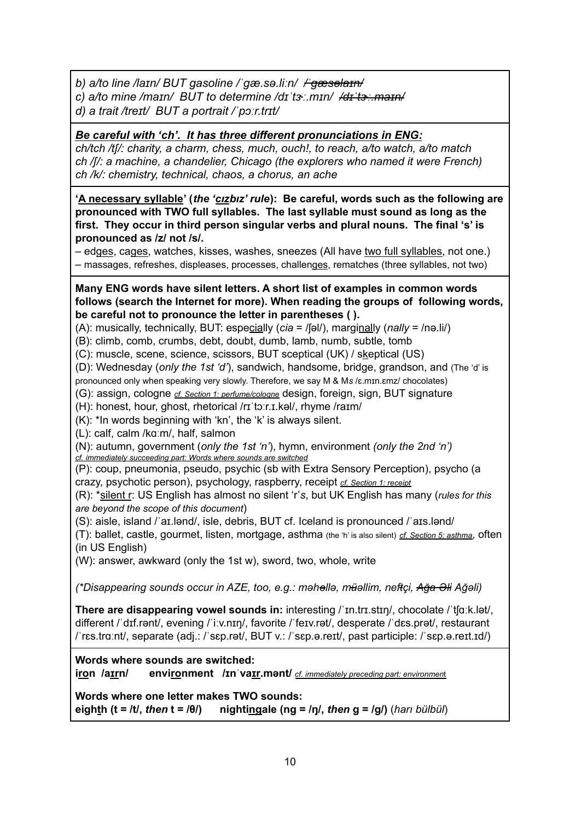*b) a/to line /laɪn/ BUT gasoline /ˈɡæ.sə.liːn/ /ˈɡæsəlaɪn/*

*c) a/to mine /maɪn/ BUT to determine /dɪˈtɝː.mɪn/ /dɪˈtɝː.maɪn/*

*d) a trait /treɪt/ BUT a portrait /ˈpɔːr.trɪt/*

*Be careful with 'ch'. It has three different pronunciations in ENG:*

*ch/tch /tʃ/: charity, a charm, chess, much, ouch!, to reach, a/to watch, a/to match ch /ʃ/: a machine, a chandelier, Chicago (the explorers who named it were French) ch /k/: chemistry, technical, chaos, a chorus, an ache*

**'A necessary syllable' (***the 'cızbız' rule***): Be careful, words such as the following are pronounced with TWO full syllables. The last syllable must sound as long as the first. They occur in third person singular verbs and plural nouns. The final 's' is pronounced as /z/ not /s/.**

– edges, cages, watches, kisses, washes, sneezes (All have two full syllables, not one.)

– massages, refreshes, displeases, processes, challenges, rematches (three syllables, not two)

#### **Many ENG words have silent letters. A short list of examples in common words follows (search the Internet for more). When reading the groups of following words, be careful not to pronounce the letter in parentheses ( ).**

(A): musically, technically, BUT: especially (*cia* = /ʃəl/), marginally (*nally* = /nə.li/)

(B): climb, comb, crumbs, debt, doubt, dumb, lamb, numb, subtle, tomb

(C): muscle, scene, science, scissors, BUT sceptical (UK) / skeptical (US)

(D): Wednesday (*only the 1st 'd'*), sandwich, handsome, bridge, grandson, and (The 'd' is

pronounced only when speaking very slowly. Therefore, we say M & M*s* /ɛ.mɪn.ɛmz/ chocolates)

(G): assign, cologne *cf. Section 1: perfume/cologne* design, foreign, sign, BUT signature

(H): honest, hour, ghost, rhetorical /rɪˈtɔːr.ɪ.kəl/, rhyme /raɪm/

(K): \*In words beginning with 'kn', the 'k' is always silent.

(L): calf, calm /kɑːm/, half, salmon

(N): autumn, government (*only the 1st 'n'*), hymn, environment *(only the 2nd 'n') cf. immediately succeeding part: Words where sounds are switched*

(P): coup, pneumonia, pseudo, psychic (sb with Extra Sensory Perception), psycho (a crazy, psychotic person), psychology, raspberry, receipt *cf. Section 1: receipt*

(R): \*silent r: US English has almost no silent 'r'*s*, but UK English has many (*rules for this are beyond the scope of this document*)

(S): aisle, island /ˈaɪ.lənd/, isle, debris, BUT cf. Iceland is pronounced /ˈaɪs.lənd/

(T): ballet, castle, gourmet, listen, mortgage, asthma (the 'h' is also silent) *cf. Section 5: asthma*, often (in US English)

(W): answer, awkward (only the 1st w), sword, two, whole, write

*(\*Disappearing sounds occur in AZE, too, e.g.: məhəllə, müəllim, neftçi, Ağa Əli Ağəli)*

**There are disappearing vowel sounds in:** interesting /ˈɪn.trɪ.stɪŋ/, chocolate /ˈtʃɑːk.lət/, different / dɪf.rənt/, evening / iːv.nɪŋ/, favorite / feɪv.rət/, desperate / dɛs.prət/, restaurant /ˈrɛs.trɑːnt/, separate (adj.: /ˈsɛp.rət/, BUT v.: /ˈsɛp.ə.reɪt/, past participle: /ˈsɛp.ə.reɪt.ɪd/)

#### **Words where sounds are switched:**

**iron /aɪrn/ environment /ɪnˈvaɪr.mənt/** *cf. immediately preceding part: environmen*t

**Words where one letter makes TWO sounds: eighth (t = /t/,** *then* **t = /θ/) nightingale (ng = /ŋ/,** *then* **g = /g/)** (*harı bülbül*)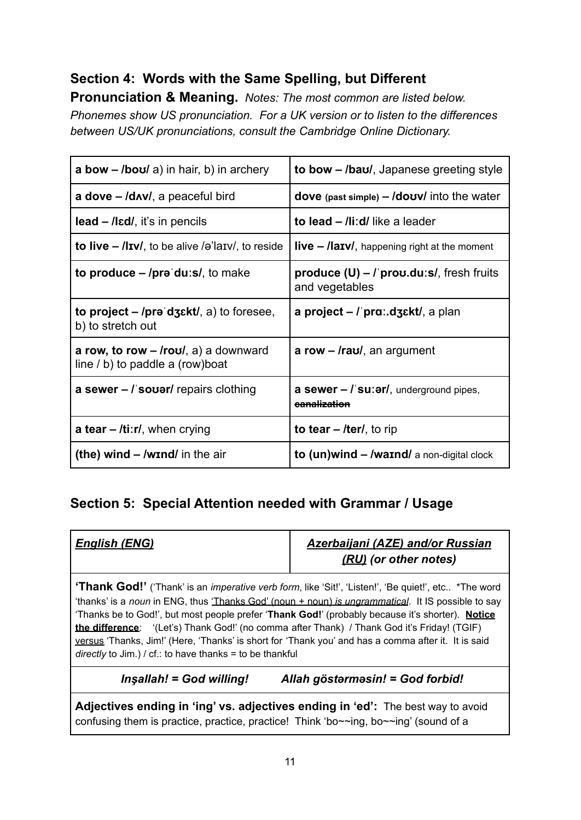## **Section 4: Words with the Same Spelling, but Different**

**Pronunciation & Meaning.** *Notes: The most common are listed below. Phonemes show US pronunciation. For a UK version or to listen to the differences between US/UK pronunciations, consult the Cambridge Online Dictionary.*

| <b>a bow – /bou/</b> a) in hair, b) in archery                                   | to bow - /bau/, Japanese greeting style                           |
|----------------------------------------------------------------------------------|-------------------------------------------------------------------|
| a dove - /dʌv/, a peaceful bird                                                  | dove (past simple) $-$ /dovv/ into the water                      |
| $lead$ – /lɛd/, it's in pencils                                                  | to lead - /liːd/ like a leader                                    |
| to live $-$ /liv/, to be alive /ə'laiv/, to reside                               | $live - \textit{llavi}$ , happening right at the moment           |
| to produce $-$ /pr $\theta$ du:s/, to make                                       | $product$ (U) – $\ell$ prov.du:s/, fresh fruits<br>and vegetables |
| to project $-$ /prə dz $\epsilon$ kt/, a) to foresee,<br>b) to stretch out       | a project $-$ / pra: $d$ z $\epsilon$ kt/, a plan                 |
| a row, to row $-$ <i>roul</i> , a) a downward<br>line / b) to paddle a (row)boat | a row $-$ <i>raul</i> , an argument                               |
| a sewer $-1$ sover/ repairs clothing                                             | a sewer $-$ / su: $er/$ , underground pipes,<br>eanalization      |
| a tear $-$ /ti:r/, when crying                                                   | to tear $-$ /ter/, to rip                                         |
| (the) wind $-$ /wind/ in the air                                                 | to $(un)$ wind $-$ /warnd/ a non-digital clock                    |

### **Section 5: Special Attention needed with Grammar / Usage**

| English (ENG)                                                                                                                                                                                                                                                                                                                                                                                                                                                                                                                                                                                   | Azerbaijani (AZE) and/or Russian<br>(RU) (or other notes) |  |
|-------------------------------------------------------------------------------------------------------------------------------------------------------------------------------------------------------------------------------------------------------------------------------------------------------------------------------------------------------------------------------------------------------------------------------------------------------------------------------------------------------------------------------------------------------------------------------------------------|-----------------------------------------------------------|--|
| <b>'Thank God!'</b> ('Thank' is an <i>imperative verb form</i> , like 'Sit!', 'Listen!', 'Be quiet!', etc *The word<br>'thanks' is a noun in ENG, thus 'Thanks God' (noun + noun) is ungrammatical. It IS possible to say<br>'Thanks be to God!', but most people prefer 'Thank God!' (probably because it's shorter). Notice<br>the difference: '(Let's) Thank God!' (no comma after Thank) / Thank God it's Friday! (TGIF)<br>versus 'Thanks, Jim!' (Here, 'Thanks' is short for 'Thank you' and has a comma after it. It is said<br>directly to Jim.) / cf.: to have thanks = to be thankful |                                                           |  |
| Insallah! = God willing!                                                                                                                                                                                                                                                                                                                                                                                                                                                                                                                                                                        | Allah göstərməsin! = God forbid!                          |  |
| Adjectives ending in 'ing' vs. adjectives ending in 'ed': The best way to avoid<br>confusing them is practice, practice, practice! Think 'bo~~ing, bo~~ing' (sound of a                                                                                                                                                                                                                                                                                                                                                                                                                         |                                                           |  |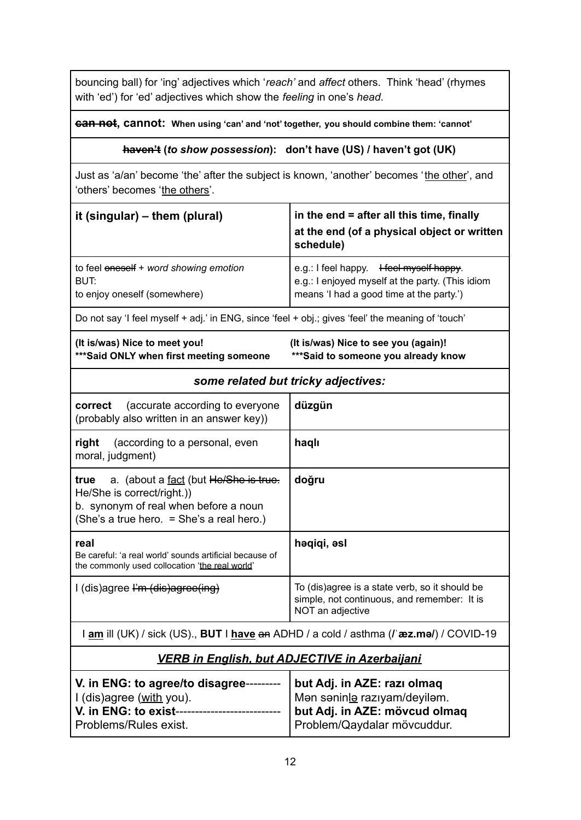bouncing ball) for 'ing' adjectives which '*reach'* and *affect* others. Think 'head' (rhymes with 'ed') for 'ed' adjectives which show the *feeling* in one's *head*.

#### **can not, cannot: When using 'can' and 'not' together, you should combine them: 'cannot'**

#### **haven't (***to show possession***): don't have (US) / haven't got (UK)**

Just as 'a/an' become 'the' after the subject is known, 'another' becomes 'the other', and 'others' becomes 'the others'.

| it (singular) $-$ them (plural)                                                                   | in the end = after all this time, finally<br>at the end (of a physical object or written<br>schedule)                           |
|---------------------------------------------------------------------------------------------------|---------------------------------------------------------------------------------------------------------------------------------|
| to feel oneself + word showing emotion<br>BUT:<br>to enjoy oneself (somewhere)                    | e.g.: I feel happy. Here Happy.<br>e.g.: I enjoyed myself at the party. (This idiom<br>means 'I had a good time at the party.') |
| Do not say 'I feel myself + adj.' in ENG, since 'feel + obj.; gives 'feel' the meaning of 'touch' |                                                                                                                                 |

| (It is/was) Nice to meet you!            |
|------------------------------------------|
| *** Said ONLY when first meeting someone |

**(It is/was) Nice to meet you! (It is/was) Nice to see you (again)! \*\*\*Said ONLY when first meeting someone \*\*\*Said to someone you already know**

| some related but tricky adjectives: |  |  |
|-------------------------------------|--|--|
|-------------------------------------|--|--|

| <b>correct</b> (accurate according to everyone<br>(probably also written in an answer key))                                                                      | düzgün                                                                                                            |
|------------------------------------------------------------------------------------------------------------------------------------------------------------------|-------------------------------------------------------------------------------------------------------------------|
| right<br>(according to a personal, even<br>moral, judgment)                                                                                                      | haqlı                                                                                                             |
| a. (about a fact (but He/She is true.<br>true<br>He/She is correct/right.)<br>b. synonym of real when before a noun<br>(She's a true hero. = She's a real hero.) | doğru                                                                                                             |
| real<br>Be careful: 'a real world' sounds artificial because of<br>the commonly used collocation 'the real world'                                                | həqiqi, əsl                                                                                                       |
| I (dis)agree I'm (dis)agree(ing)                                                                                                                                 | To (dis)agree is a state verb, so it should be<br>simple, not continuous, and remember: It is<br>NOT an adjective |

I **am** ill (UK) / sick (US)., **BUT** I **have** an ADHD / a cold / asthma (**/ˈæz.mə/**) / COVID-19

#### *VERB in English, but ADJECTIVE in Azerbaijani*

| V. in ENG: to agree/to disagree- | but Adj. in AZE: razi olmaq    |
|----------------------------------|--------------------------------|
| I (dis)agree (with you).         | I Mən səninlə razıyam/deyiləm. |
| V. in ENG: to exist----          | but Adj. in AZE: mövcud olmaq  |
| Problems/Rules exist.            | Problem/Qaydalar mövcuddur.    |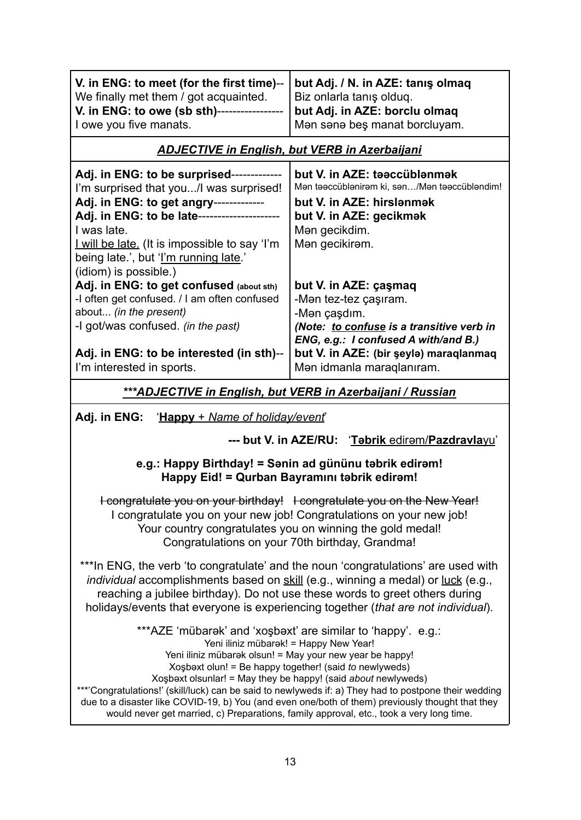| V. in ENG: to meet (for the first time)--<br>We finally met them / got acquainted.<br>V. in ENG: to owe (sb sth)-----------------<br>I owe you five manats.                                                                                                                                                    | but Adj. / N. in AZE: tanış olmaq<br>Biz onlarla tanış olduq.<br>but Adj. in AZE: borclu olmaq<br>Man sana beş manat borcluyam.                                                                                            |
|----------------------------------------------------------------------------------------------------------------------------------------------------------------------------------------------------------------------------------------------------------------------------------------------------------------|----------------------------------------------------------------------------------------------------------------------------------------------------------------------------------------------------------------------------|
|                                                                                                                                                                                                                                                                                                                | <b>ADJECTIVE in English, but VERB in Azerbaijani</b>                                                                                                                                                                       |
| Adj. in ENG: to be surprised-------------<br>I'm surprised that you/I was surprised!<br>Adj. in ENG: to get angry------------<br>Adj. in ENG: to be late--------------------<br>I was late.<br>I will be late. (It is impossible to say 'I'm<br>being late.', but 'I'm running late.'<br>(idiom) is possible.) | but V. in AZE: taaccüblanmak<br>Mən təəccüblənirəm ki, sən/Mən təəccübləndim!<br>but V. in AZE: hirslanmak<br>but V. in AZE: gecikmek<br>Man gecikdim.<br>Man gecikiram.                                                   |
| Adj. in ENG: to get confused (about sth)<br>-I often get confused. / I am often confused<br>about (in the present)<br>-I got/was confused. (in the past)<br>Adj. in ENG: to be interested (in sth)--<br>I'm interested in sports.                                                                              | but V. in AZE: çaşmaq<br>-Mən tez-tez çaşıram.<br>-Mən çaşdım.<br>(Note: to confuse is a transitive verb in<br>ENG, e.g.: I confused A with/and B.)<br>but V. in AZE: (bir şeylə) maraqlanmaq<br>Man idmanla maraqlanıram. |
| ***ADJECTIVE in English, but VERB in Azerbaijani / Russian                                                                                                                                                                                                                                                     |                                                                                                                                                                                                                            |

**Adj. in ENG:** '**Happy** + *Name of holiday/event*'

**--- but V. in AZE/RU:** '**Təbrik** edirəm/**Pazdravla**yu'

#### **e.g.: Happy Birthday! = Sənin ad gününu təbrik edirəm! Happy Eid! = Qurban Bayramını təbrik edirəm!**

I congratulate you on your birthday! I congratulate you on the New Year! I congratulate you on your new job! Congratulations on your new job! Your country congratulates you on winning the gold medal! Congratulations on your 70th birthday, Grandma!

\*\*\*In ENG, the verb 'to congratulate' and the noun 'congratulations' are used with *individual* accomplishments based on skill (e.g., winning a medal) or luck (e.g., reaching a jubilee birthday). Do not use these words to greet others during holidays/events that everyone is experiencing together (*that are not individual*).

\*\*\*AZE 'mübarək' and 'xoşbəxt' are similar to 'happy'. e.g.:

Yeni iliniz mübarək! = Happy New Year!

Yeni iliniz mübarək olsun! = May your new year be happy!

Xoşbəxt olun! = Be happy together! (said *to* newlyweds)

Xoşbəxt olsunlar! = May they be happy! (said *about* newlyweds)

\*\*\*'Congratulations!' (skill/luck) can be said to newlyweds if: a) They had to postpone their wedding due to a disaster like COVID-19, b) You (and even one/both of them) previously thought that they would never get married, c) Preparations, family approval, etc., took a very long time.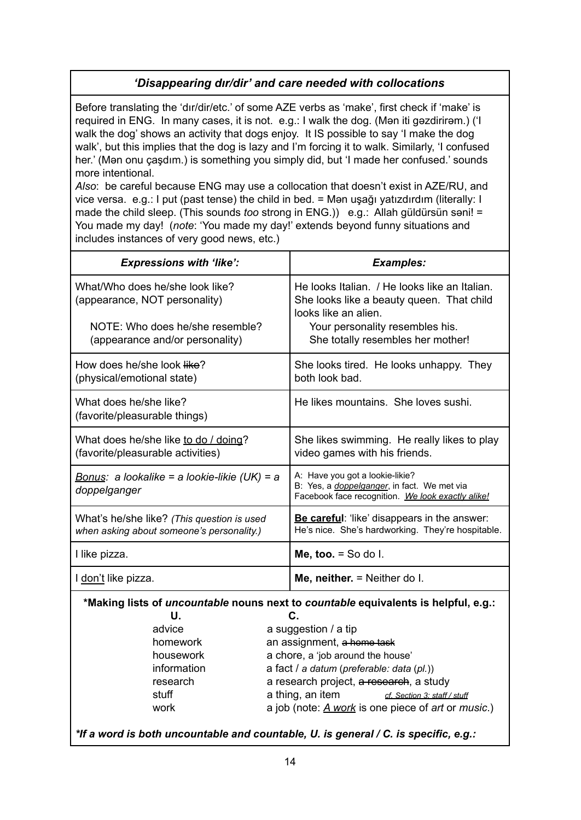### *'Disappearing dır/dir' and care needed with collocations*

Before translating the 'dır/dir/etc.' of some AZE verbs as 'make', first check if 'make' is required in ENG. In many cases, it is not. e.g.: I walk the dog. (Mən iti gəzdirirəm.) ('I walk the dog' shows an activity that dogs enjoy. It IS possible to say 'I make the dog walk', but this implies that the dog is lazy and I'm forcing it to walk. Similarly, 'I confused her.' (Mən onu çaşdım.) is something you simply did, but 'I made her confused.' sounds more intentional.

*Also*: be careful because ENG may use a collocation that doesn't exist in AZE/RU, and vice versa. e.g.: I put (past tense) the child in bed. = Mən uşağı yatızdırdım (literally: I made the child sleep. (This sounds *too* strong in ENG.)) e.g.: Allah güldürsün səni! = You made my day! (*note*: 'You made my day!' extends beyond funny situations and includes instances of very good news, etc.)

| <b>Expressions with 'like':</b>                                                         |                                                    | <b>Examples:</b>                                                                                                                            |
|-----------------------------------------------------------------------------------------|----------------------------------------------------|---------------------------------------------------------------------------------------------------------------------------------------------|
| What/Who does he/she look like?<br>(appearance, NOT personality)                        |                                                    | He looks Italian. / He looks like an Italian.<br>She looks like a beauty queen. That child<br>looks like an alien.                          |
| NOTE: Who does he/she resemble?<br>(appearance and/or personality)                      |                                                    | Your personality resembles his.<br>She totally resembles her mother!                                                                        |
| How does he/she look like?<br>(physical/emotional state)                                |                                                    | She looks tired. He looks unhappy. They<br>both look bad.                                                                                   |
| What does he/she like?<br>(favorite/pleasurable things)                                 |                                                    | He likes mountains. She loves sushi.                                                                                                        |
| What does he/she like to do / doing?<br>(favorite/pleasurable activities)               |                                                    | She likes swimming. He really likes to play<br>video games with his friends.                                                                |
| Bonus: a lookalike = a lookie-likie (UK) = a<br>doppelganger                            |                                                    | A: Have you got a lookie-likie?<br>B: Yes, a <i>doppelganger</i> , in fact. We met via<br>Facebook face recognition. We look exactly alike! |
| What's he/she like? (This question is used<br>when asking about someone's personality.) |                                                    | Be careful: 'like' disappears in the answer:<br>He's nice. She's hardworking. They're hospitable.                                           |
| I like pizza.                                                                           |                                                    | Me, too. $=$ So do I.                                                                                                                       |
| I don't like pizza.                                                                     |                                                    | Me, neither. = Neither do I.                                                                                                                |
| *Making lists of uncountable nouns next to countable equivalents is helpful, e.g.:      |                                                    |                                                                                                                                             |
| U.<br>advice                                                                            |                                                    | C.<br>a suggestion / a tip                                                                                                                  |
| homework                                                                                |                                                    | an assignment, a home task                                                                                                                  |
| housework                                                                               |                                                    | a chore, a 'job around the house'                                                                                                           |
| information                                                                             |                                                    | a fact / a datum (preferable: data (pl.))                                                                                                   |
| research                                                                                |                                                    | a research project, a research, a study                                                                                                     |
| stuff                                                                                   | a thing, an item<br>cf. Section 3: staff / stuff   |                                                                                                                                             |
| work                                                                                    | a job (note: A work is one piece of art or music.) |                                                                                                                                             |
| *If a word is both uncountable and countable, U. is general / C. is specific, e.g.:     |                                                    |                                                                                                                                             |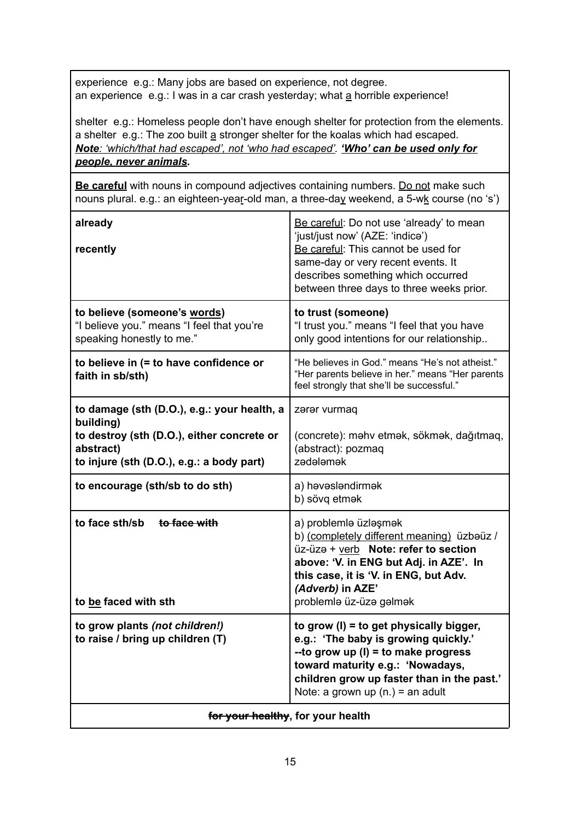experience e.g.: Many jobs are based on experience, not degree. an experience e.g.: I was in a car crash yesterday; what a horrible experience!

shelter e.g.: Homeless people don't have enough shelter for protection from the elements. a shelter e.g.: The zoo built a stronger shelter for the koalas which had escaped. *Note: 'which/that had escaped', not 'who had escaped'. 'Who' can be used only for people, never animals.*

**Be careful** with nouns in compound adjectives containing numbers. Do not make such nouns plural. e.g.: an eighteen-year-old man, a three-day weekend, a 5-wk course (no 's')

| already<br>recently                                                                                                                                              | Be careful: Do not use 'already' to mean<br>'just/just now' (AZE: 'indice')<br>Be careful: This cannot be used for<br>same-day or very recent events. It<br>describes something which occurred<br>between three days to three weeks prior.        |
|------------------------------------------------------------------------------------------------------------------------------------------------------------------|---------------------------------------------------------------------------------------------------------------------------------------------------------------------------------------------------------------------------------------------------|
| to believe (someone's words)<br>"I believe you." means "I feel that you're<br>speaking honestly to me."                                                          | to trust (someone)<br>"I trust you." means "I feel that you have<br>only good intentions for our relationship                                                                                                                                     |
| to believe in (= to have confidence or<br>faith in sb/sth)                                                                                                       | "He believes in God." means "He's not atheist."<br>"Her parents believe in her." means "Her parents<br>feel strongly that she'll be successful."                                                                                                  |
| to damage (sth (D.O.), e.g.: your health, a<br>building)<br>to destroy (sth (D.O.), either concrete or<br>abstract)<br>to injure (sth (D.O.), e.g.: a body part) | zərər vurmaq<br>(concrete): mahv etmak, sökmak, dağıtmaq,<br>(abstract): pozmaq<br>zədələmək                                                                                                                                                      |
| to encourage (sth/sb to do sth)                                                                                                                                  | a) həvəsləndirmək<br>b) sövg etmək                                                                                                                                                                                                                |
| to face sth/sb to face with<br>to be faced with sth                                                                                                              | a) problemlə üzləşmək<br>b) (completely different meaning) üzbəüz /<br>üz-üzə + verb Note: refer to section<br>above: 'V. in ENG but Adj. in AZE'. In<br>this case, it is 'V. in ENG, but Adv.<br>(Adverb) in AZE'<br>problemlə üz-üzə gəlmək     |
| to grow plants (not children!)<br>to raise / bring up children (T)                                                                                               | to grow (I) = to get physically bigger,<br>e.g.: 'The baby is growing quickly.'<br>-- to grow up $(l)$ = to make progress<br>toward maturity e.g.: 'Nowadays,<br>children grow up faster than in the past.'<br>Note: a grown up $(n.) = an$ adult |
| for your healthy, for your health                                                                                                                                |                                                                                                                                                                                                                                                   |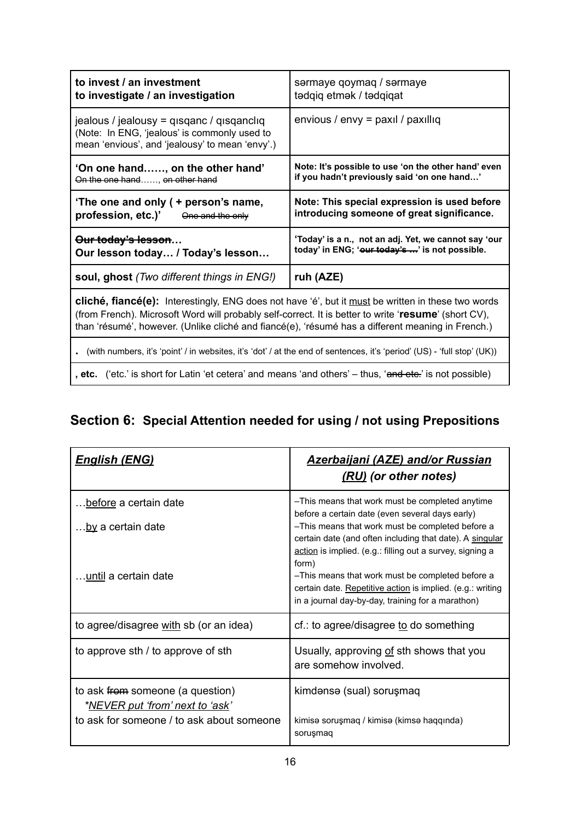| to invest / an investment<br>to investigate / an investigation                                                                                                                                                                                                                                                         | sərmaye qoymaq / sərmaye<br>tədqiq etmək / tədqiqat                                                    |  |
|------------------------------------------------------------------------------------------------------------------------------------------------------------------------------------------------------------------------------------------------------------------------------------------------------------------------|--------------------------------------------------------------------------------------------------------|--|
| jealous / jealousy = qisqanc / qisqancliq<br>(Note: In ENG, 'jealous' is commonly used to<br>mean 'envious', and 'jealousy' to mean 'envy'.)                                                                                                                                                                           | envious / envy = $\text{paxil}$ / $\text{paxilliq}$                                                    |  |
| 'On one hand, on the other hand'<br>On the one hand, on other hand                                                                                                                                                                                                                                                     | Note: It's possible to use 'on the other hand' even<br>if you hadn't previously said 'on one hand'     |  |
| 'The one and only ( + person's name,<br>profession, etc.)' One and the only                                                                                                                                                                                                                                            | Note: This special expression is used before<br>introducing someone of great significance.             |  |
| Our today's lesson<br>Our lesson today / Today's lesson                                                                                                                                                                                                                                                                | 'Today' is a n., not an adj. Yet, we cannot say 'our<br>today' in ENG; 'our today's ' is not possible. |  |
| soul, ghost (Two different things in ENG!)                                                                                                                                                                                                                                                                             | ruh (AZE)                                                                                              |  |
| <b>cliché, fiancé(e):</b> Interestingly, ENG does not have 'é', but it must be written in these two words<br>(from French). Microsoft Word will probably self-correct. It is better to write 'resume' (short CV),<br>than 'résumé', however. (Unlike cliché and fiancé(e), 'résumé has a different meaning in French.) |                                                                                                        |  |
| (with numbers, it's 'point' / in websites, it's 'dot' / at the end of sentences, it's 'period' (US) - 'full stop' (UK))                                                                                                                                                                                                |                                                                                                        |  |
| , etc. ('etc.' is short for Latin 'et cetera' and means 'and others' – thus, 'and ete.' is not possible)                                                                                                                                                                                                               |                                                                                                        |  |

### **Section 6: Special Attention needed for using / not using Prepositions**

| <u> English (ENG)</u>                                                                                                     | <b>Azerbaijani (AZE) and/or Russian</b><br>(RU) (or other notes)                                                                                                                                                                                                                                                                                                                                                                                                |
|---------------------------------------------------------------------------------------------------------------------------|-----------------------------------------------------------------------------------------------------------------------------------------------------------------------------------------------------------------------------------------------------------------------------------------------------------------------------------------------------------------------------------------------------------------------------------------------------------------|
| before a certain date<br>.by a certain date<br>until a certain date                                                       | -This means that work must be completed anytime<br>before a certain date (even several days early)<br>-This means that work must be completed before a<br>certain date (and often including that date). A singular<br>action is implied. (e.g.: filling out a survey, signing a<br>form)<br>-This means that work must be completed before a<br>certain date. Repetitive action is implied. (e.g.: writing<br>in a journal day-by-day, training for a marathon) |
| to agree/disagree with sb (or an idea)                                                                                    | $cf.$ : to agree/disagree to do something                                                                                                                                                                                                                                                                                                                                                                                                                       |
| to approve sth / to approve of sth                                                                                        | Usually, approving of sth shows that you<br>are somehow involved.                                                                                                                                                                                                                                                                                                                                                                                               |
| to ask from someone (a question)<br>* <u>NEVER put 'from' next to 'ask</u> '<br>to ask for someone / to ask about someone | kimdənsə (sual) soruşmaq<br>kimisə soruşmaq / kimisə (kimsə haqqında)<br>sorușmaq                                                                                                                                                                                                                                                                                                                                                                               |